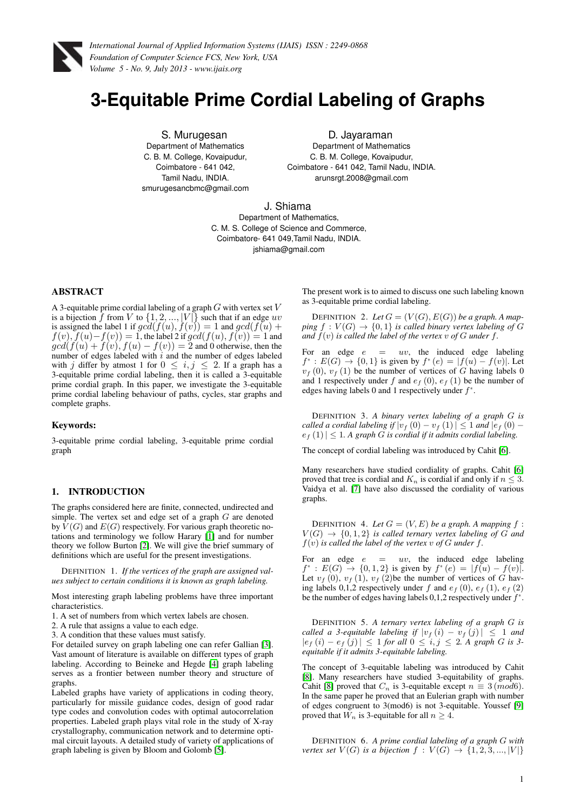

# **3-Equitable Prime Cordial Labeling of Graphs**

S. Murugesan Department of Mathematics C. B. M. College, Kovaipudur, Coimbatore - 641 042, Tamil Nadu, INDIA. smurugesancbmc@gmail.com

D. Jayaraman Department of Mathematics C. B. M. College, Kovaipudur, Coimbatore - 641 042, Tamil Nadu, INDIA. arunsrgt.2008@gmail.com

J. Shiama

Department of Mathematics, C. M. S. College of Science and Commerce, Coimbatore- 641 049,Tamil Nadu, INDIA. jshiama@gmail.com

# ABSTRACT

A 3-equitable prime cordial labeling of a graph  $G$  with vertex set  $V$ is a bijection  $\tilde{f}$  from  $V$  to  $\{1, 2, ..., |V|\}$  such that if an edge uv is assigned the label 1 if  $gcd(f(u), f(v)) = 1$  and  $gcd(f(u) +$  $f(v), f(u)-f(v)) = 1$ , the label 2 if  $gcd(f(u), f(v)) = 1$  and  $gcd(f(u) + f(v), f(u) - f(v)) = 2$  and 0 otherwise, then the number of edges labeled with  $i$  and the number of edges labeled with j differ by atmost 1 for  $0 \le i, j \le 2$ . If a graph has a 3-equitable prime cordial labeling, then it is called a 3-equitable prime cordial graph. In this paper, we investigate the 3-equitable prime cordial labeling behaviour of paths, cycles, star graphs and complete graphs.

#### Keywords:

3-equitable prime cordial labeling, 3-equitable prime cordial graph

#### 1. INTRODUCTION

The graphs considered here are finite, connected, undirected and simple. The vertex set and edge set of a graph G are denoted by  $V(G)$  and  $E(G)$  respectively. For various graph theoretic notations and terminology we follow Harary [\[1\]](#page-3-0) and for number theory we follow Burton [\[2\]](#page-3-1). We will give the brief summary of definitions which are useful for the present investigations.

DEFINITION 1. *If the vertices of the graph are assigned values subject to certain conditions it is known as graph labeling.*

Most interesting graph labeling problems have three important characteristics.

- 1. A set of numbers from which vertex labels are chosen.
- 2. A rule that assigns a value to each edge.
- 3. A condition that these values must satisfy.

For detailed survey on graph labeling one can refer Gallian [\[3\]](#page-3-2). Vast amount of literature is available on different types of graph labeling. According to Beineke and Hegde [\[4\]](#page-3-3) graph labeling serves as a frontier between number theory and structure of graphs.

Labeled graphs have variety of applications in coding theory, particularly for missile guidance codes, design of good radar type codes and convolution codes with optimal autocorrelation properties. Labeled graph plays vital role in the study of X-ray crystallography, communication network and to determine optimal circuit layouts. A detailed study of variety of applications of graph labeling is given by Bloom and Golomb [\[5\]](#page-3-4).

The present work is to aimed to discuss one such labeling known as 3-equitable prime cordial labeling.

DEFINITION 2. Let  $G = (V(G), E(G))$  be a graph. A map*ping*  $f: V(G) \rightarrow \{0,1\}$  *is called binary vertex labeling of* G *and*  $f(v)$  *is called the label of the vertex*  $v$  *of*  $G$  *under*  $f$ *.* 

For an edge  $e = uv$ , the induced edge labeling  $f^*: E(G) \to \{0,1\}$  is given by  $f^*(e) = |f(u) - f(v)|$ . Let  $v_f(0), v_f(1)$  be the number of vertices of G having labels 0 and 1 respectively under f and  $e_f(0)$ ,  $e_f(1)$  be the number of edges having labels 0 and 1 respectively under  $f^*$ .

DEFINITION 3. *A binary vertex labeling of a graph* G *is called a cordial labeling if*  $|v_f(0) - v_f(1)| \leq 1$  *and*  $|e_f(0)$  $e_f(1) \leq 1$ . A graph G is cordial if it admits cordial labeling.

The concept of cordial labeling was introduced by Cahit [\[6\]](#page-3-5).

Many researchers have studied cordiality of graphs. Cahit [\[6\]](#page-3-5) proved that tree is cordial and  $K_n$  is cordial if and only if  $n \leq 3$ . Vaidya et al. [\[7\]](#page-3-6) have also discussed the cordiality of various graphs.

DEFINITION 4. Let  $G = (V, E)$  be a graph. A mapping  $f$ :  $V(G) \rightarrow \{0, 1, 2\}$  *is called ternary vertex labeling of G and*  $f(v)$  *is called the label of the vertex*  $v$  *of*  $G$  *under*  $f$ *.* 

For an edge  $e = uv$ , the induced edge labeling  $f^*: E(G) \to \{0,1,2\}$  is given by  $f^*(e) = |f(u) - f(v)|$ . Let  $v_f (0)$ ,  $v_f (1)$ ,  $v_f (2)$ be the number of vertices of G having labels 0,1,2 respectively under f and  $e_f$  (0),  $e_f$  (1),  $e_f$  (2) be the number of edges having labels  $0,1,2$  respectively under  $f^*$ .

DEFINITION 5. *A ternary vertex labeling of a graph* G *is called a 3-equitable labeling if*  $|v_f(i) - v_f(j)| \leq 1$  *and*  $|e_f(i) - e_f(j)|$  ≤ 1 *for all*  $0 \leq i, j \leq 2$ . A graph G is 3*equitable if it admits 3-equitable labeling.*

The concept of 3-equitable labeling was introduced by Cahit [\[8\]](#page-3-7). Many researchers have studied 3-equitability of graphs. Cahit [\[8\]](#page-3-7) proved that  $C_n$  is 3-equitable except  $n \equiv 3 \pmod{6}$ . In the same paper he proved that an Eulerian graph with number of edges congruent to 3(mod6) is not 3-equitable. Youssef [\[9\]](#page-3-8) proved that  $W_n$  is 3-equitable for all  $n \geq 4$ .

DEFINITION 6. *A prime cordial labeling of a graph* G *with vertex set*  $V(G)$  *is a bijection*  $f: V(G) \rightarrow \{1, 2, 3, ..., |V|\}$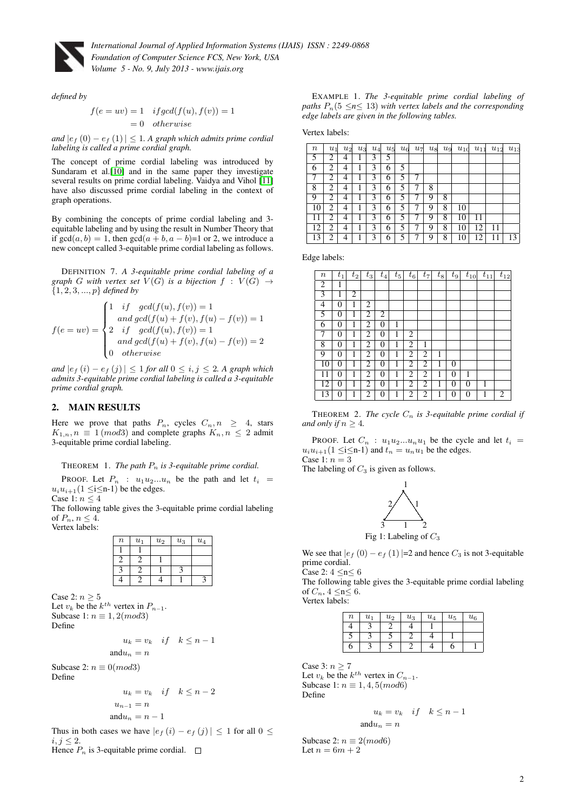

*defined by*

$$
f(e = uv) = 1 \quad if gcd(f(u), f(v)) = 1
$$

$$
= 0 \quad otherwise
$$

*and*  $|e_f(0) - e_f(1)|$  ≤ 1*. A graph which admits prime cordial labeling is called a prime cordial graph.*

The concept of prime cordial labeling was introduced by Sundaram et al.[\[10\]](#page-3-9) and in the same paper they investigate several results on prime cordial labeling. Vaidya and Vihol [\[11\]](#page-3-10) have also discussed prime cordial labeling in the context of graph operations.

By combining the concepts of prime cordial labeling and 3 equitable labeling and by using the result in Number Theory that if  $gcd(a, b) = 1$ , then  $gcd(a + b, a - b) = 1$  or 2, we introduce a new concept called 3-equitable prime cordial labeling as follows.

DEFINITION 7. *A 3-equitable prime cordial labeling of a graph* G with vertex set  $V(G)$  *is a bijection*  $f : V(G) \rightarrow$ {1, 2, 3, ..., p} *defined by*

$$
f(e = uv) = \begin{cases} 1 & if \quad gcd(f(u), f(v)) = 1 \\ and \gcd(f(u) + f(v), f(u) - f(v)) = 1 \\ 2 & if \quad gcd(f(u), f(v)) = 1 \\ and \gcd(f(u) + f(v), f(u) - f(v)) = 2 \\ 0 & otherwise \end{cases}
$$

*and*  $|e_f(i) - e_f(j)|$  ≤ 1 *for all* 0 ≤ *i, j* ≤ 2*.* A graph which *admits 3-equitable prime cordial labeling is called a 3-equitable prime cordial graph.*

### 2. MAIN RESULTS

Here we prove that paths  $P_n$ , cycles  $C_n, n \geq 4$ , stars  $K_{1,n}, n \equiv 1 \pmod{3}$  and complete graphs  $K_n, n \leq 2$  admit 3-equitable prime cordial labeling.

#### THEOREM 1. *The path*  $P_n$  *is 3-equitable prime cordial.*

PROOF. Let  $P_n$ :  $u_1u_2...u_n$  be the path and let  $t_i$  =  $u_i u_{i+1}$ (1  $\leq i \leq n-1$ ) be the edges.

Case 1:  $n\leq 4$ 

The following table gives the 3-equitable prime cordial labeling of  $P_n$ ,  $n \leq 4$ . Vertex labels:

| $\boldsymbol{n}$ | $u_1$ | $u_2$ | $u_3$ | $u_4$ |
|------------------|-------|-------|-------|-------|
|                  |       |       |       |       |
|                  |       |       |       |       |
|                  |       |       |       |       |
|                  |       |       |       |       |

Case 2:  $n \geq 5$ 

Let  $v_k$  be the  $k^{th}$  vertex in  $P_{n-1}$ . Subcase 1:  $n \equiv 1, 2 \pmod{3}$ 

Define

$$
u_k = v_k \quad \text{if} \quad k \le n - 1
$$

$$
and u_n = n
$$

Subcase 2:  $n \equiv 0 \pmod{3}$ 

Define

$$
u_k = v_k \quad \text{if} \quad k \le n-2
$$

$$
u_{n-1} = n
$$

$$
and u_n = n-1
$$

Thus in both cases we have  $|e_f(i) - e_f(j)| \leq 1$  for all  $0 \leq$  $i, j \leq 2$ .

Hence  $P_n$  is 3-equitable prime cordial.  $\Box$ 

|                                                                      |  | EXAMPLE 1. The 3-equitable prime cordial labeling of |  |  |
|----------------------------------------------------------------------|--|------------------------------------------------------|--|--|
| paths $P_n(5 \le n \le 13)$ with vertex labels and the corresponding |  |                                                      |  |  |
| edge labels are given in the following tables.                       |  |                                                      |  |  |

Vertex labels:

| $\it n$ | $u_1$ | $u_2$ | $u_3$ | $u_4$ | $u_{5}$ | $u_6$ | $u_7$ | $u_8$ | $u_{9}$ | $u_{10}$ | $u_{11}$ | $u_{12}$ | $u_{13}$ |
|---------|-------|-------|-------|-------|---------|-------|-------|-------|---------|----------|----------|----------|----------|
| 5       | 2     | 4     |       | 3     | 5       |       |       |       |         |          |          |          |          |
| 6       | 2     | 4     |       | 3     | 6       | 5     |       |       |         |          |          |          |          |
| 7       | 2     | 4     |       | 3     | 6       | 5     | 7     |       |         |          |          |          |          |
| 8       | 2     | 4     |       | 3     | 6       | 5     | 7     | 8     |         |          |          |          |          |
| 9       | 2     | 4     |       | 3     | 6       | 5     | 7     | 9     | 8       |          |          |          |          |
| 10      | 2     | 4     |       | 3     | 6       | 5     |       | 9     | 8       | 10       |          |          |          |
| 11      | 2     | 4     |       | 3     | 6       | 5     | 7     | 9     | 8       | 10       | 11       |          |          |
| 12      | 2     | 4     |       | 3     | 6       | 5     | 7     | 9     | 8       | 10       | 12       | 11       |          |
| 13      | 2     | 4     |       | 3     | 6       | 5     |       | 9     | 8       | 10       | 12       | 11       | 13       |

Edge labels:

| $\it n$         | $t_{1}$        | $t_2$ | $t_3$          | $t_4$            | $t_{5}$ | $t_6$          | $t_7$ | $t_{8}$ | $t_{9}$          | $t_{10}$ | $t_{11}$ | $t_{12}$       |
|-----------------|----------------|-------|----------------|------------------|---------|----------------|-------|---------|------------------|----------|----------|----------------|
| 2               | 1              |       |                |                  |         |                |       |         |                  |          |          |                |
| 3               | 1              | 2     |                |                  |         |                |       |         |                  |          |          |                |
| 4               | $\overline{0}$ | 1     | 2              |                  |         |                |       |         |                  |          |          |                |
| 5               | 0              | 1     | 2              | 2                |         |                |       |         |                  |          |          |                |
| 6               | $\overline{0}$ | 1     | 2              | $\overline{0}$   | 1       |                |       |         |                  |          |          |                |
| 7               | $\overline{0}$ | 1     | 2              | $\overline{0}$   | 1       | 2              |       |         |                  |          |          |                |
| 8               | $\overline{0}$ | 1     | 2              | 0                | 1       | 2              | 1     |         |                  |          |          |                |
| 9               | $\overline{0}$ | 1     | 2              | $\overline{0}$   | 1       | 2              | 2     | 1       |                  |          |          |                |
| $\overline{10}$ | $\overline{0}$ | 1     | $\overline{2}$ | $\overline{0}$   | 1       | $\overline{2}$ | 2     | 1       | $\boldsymbol{0}$ |          |          |                |
| 11              | 0              | 1     | 2              | $\boldsymbol{0}$ | 1       | 2              | 2     | 1       | $\overline{0}$   | 1        |          |                |
| 12              | 0              | 1     | 2              | $\overline{0}$   | 1       | 2              | 2     | 1       | 0                | 0        |          |                |
| 13              | 0              |       | 2              | 0                |         | 2              | 2     |         | 0                | 0        |          | $\overline{2}$ |

THEOREM 2. *The cycle*  $C_n$  *is 3-equitable prime cordial if and only if*  $n \geq 4$ *.* 

PROOF. Let  $C_n$ :  $u_1u_2...u_nu_1$  be the cycle and let  $t_i$  $u_i u_{i+1}$  (1 ≤i ≤n-1) and  $t_n = u_n u_1$  be the edges. Case 1:  $n = 3$ 

The labeling of  $C_3$  is given as follows.



We see that  $|e_f(0) - e_f(1)|=2$  and hence  $C_3$  is not 3-equitable prime cordial.

Case 2:  $4 \le n \le 6$ 

The following table gives the 3-equitable prime cordial labeling of  $C_n$ ,  $4 \le n \le 6$ . Vertex labels:

> $n \mid u_1 \mid u_2 \mid u_3 \mid u_4 \mid u_5 \mid u_6$ 4 3 2 4 1  $5 \mid 3 \mid 5 \mid 2 \mid 4 \mid 1$  $6$  | 3 | 5 | 2 | 4 | 6 | 1

Case 3:  $n \geq 7$ 

Let  $v_k$  be the  $k^{th}$  vertex in  $C_{n-1}$ . Subcase 1:  $n \equiv 1, 4, 5 \pmod{6}$ Define

and  $u_n = n$ 

$$
u_k = v_k \quad \text{if} \quad k \le n-1
$$

Subcase 2:  $n \equiv 2 \pmod{6}$ Let  $n = 6m + 2$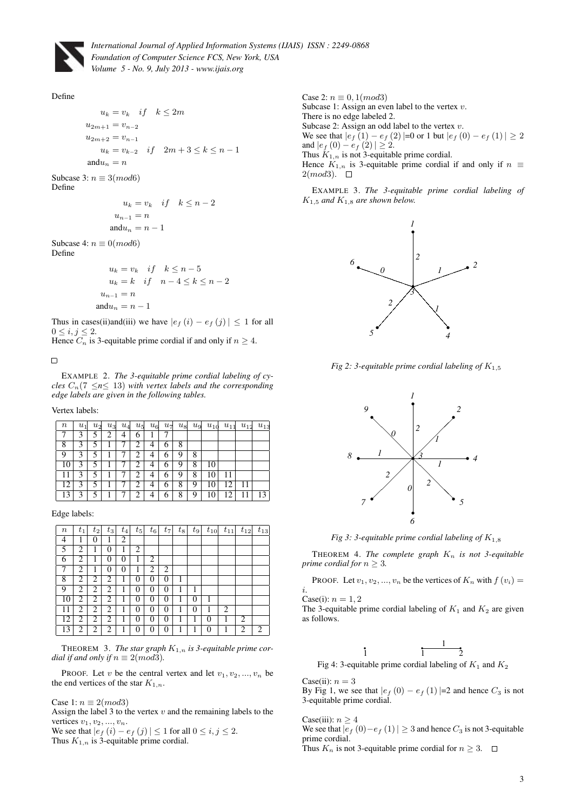

#### Define

 $u_k = v_k$  if  $k \leq 2m$  $u_{2m+1} = v_{n-2}$  $u_{2m+2} = v_{n-1}$  $u_k = v_{k-2}$  if  $2m+3 \le k \le n-1$ and $u_n = n$ Subcase 3:  $n \equiv 3 \pmod{6}$ Define  $u_k = v_k$  if  $k \leq n-2$  $u_{n-1} = n$ and $u_n = n - 1$ Subcase 4:  $n \equiv 0 \pmod{6}$ 

Define

$$
u_k = v_k \quad if \quad k \le n-5
$$
  

$$
u_k = k \quad if \quad n-4 \le k \le n-2
$$
  

$$
u_{n-1} = n
$$
  

$$
and u_n = n-1
$$

Thus in cases(ii)and(iii) we have  $|e_f(i) - e_f(j)| \leq 1$  for all  $0 \leq i, j \leq 2.$ 

Hence  $C_n$  is 3-equitable prime cordial if and only if  $n \geq 4$ .

 $\Box$ 

EXAMPLE 2. *The 3-equitable prime cordial labeling of cycles*  $C_n$  (7  $\leq n \leq 13$ ) *with vertex labels and the corresponding edge labels are given in the following tables.*

Vertex labels:

| $\it n$ | $u_1$ | $u_2$ | $u_3$ | $u_4$ | $u_5$ | $u_{6}$ | $u_7$ | $u_8$ | $u_{9}$ | $u_{10}$ | $u_{11}$ | $u_{12}$ | $u_{13}$ |
|---------|-------|-------|-------|-------|-------|---------|-------|-------|---------|----------|----------|----------|----------|
|         | 3     | 5     | 2     | 4     | 6     |         |       |       |         |          |          |          |          |
| 8       | 3     | 5     |       |       | 2     | 4       | 6     | 8     |         |          |          |          |          |
| 9       | 3     |       |       |       | 2     | 4       | 6     | 9     | 8       |          |          |          |          |
| 10      | 3     | 5     |       |       | 2     | 4       | 6     | 9     | 8       | 10       |          |          |          |
| 11      | 3     | 5     |       |       | 2     | 4       | 6     | 9     | 8       | 10       | 11       |          |          |
| 12      | 3     | 5     |       |       | 2     | 4       | 6     | 8     | 9       | 10       | 12       | 11       |          |
| 13      | 3     | 5     |       |       | 2     | 4       | 6     | 8     | 9       | 10       | 12       |          | 13       |

Edge labels:

| $\it n$ | $t_1$ | $t_2$ | $t_3$ | $t_{4}$        | $t_{5}$ | $t_6$ | $t_7$ | $t_8$ | $t_{9}$  | $t_{10}$ | $t_{11}$ | $t_{12}$       | $t_{13}$ |
|---------|-------|-------|-------|----------------|---------|-------|-------|-------|----------|----------|----------|----------------|----------|
| 4       | 1     | 0     |       | 2              |         |       |       |       |          |          |          |                |          |
| 5       | 2     | 1     | 0     | 1              | 2       |       |       |       |          |          |          |                |          |
| 6       | 2     |       | 0     | 0              | 1       | 2     |       |       |          |          |          |                |          |
| 7       | 2     |       | 0     | $\overline{0}$ |         | 2     | 2     |       |          |          |          |                |          |
| 8       | 2     | 2     | 2     | 1              | 0       | 0     | 0     | 1     |          |          |          |                |          |
| 9       | 2     | 2     | 2     |                | 0       | 0     | 0     |       |          |          |          |                |          |
| 10      | 2     | 2     | 2     | 1              | 0       | 0     | 0     |       | $\theta$ | 1        |          |                |          |
| 11      | 2     | 2     | 2     | 1              | 0       | 0     | 0     | 1     | 0        | 1        | 2        |                |          |
| 12      | 2     | 2     | 2     |                | 0       | 0     | 0     | 1     | l        | 0        |          | $\overline{2}$ |          |
| 13      | 2     | 2     | 2     |                | 0       | 0     | 0     |       |          | 0        |          | 2              | 2        |

THEOREM 3. The star graph  $K_{1,n}$  is 3-equitable prime cor*dial if and only if*  $n \equiv 2 \pmod{3}$ *.* 

PROOF. Let v be the central vertex and let  $v_1, v_2, ..., v_n$  be the end vertices of the star  $K_{1,n}$ .

Case 1:  $n \equiv 2 \pmod{3}$ 

Assign the label 3 to the vertex  $v$  and the remaining labels to the vertices  $v_1, v_2, ..., v_n$ .

We see that  $|e_f(i) - e_f(j)| \le 1$  for all  $0 \le i, j \le 2$ . Thus  $K_{1,n}$  is 3-equitable prime cordial.

Case 2:  $n \equiv 0, 1 \pmod{3}$ Subcase 1: Assign an even label to the vertex  $v$ . There is no edge labeled 2. Subcase 2: Assign an odd label to the vertex  $v$ . We see that  $|e_f(1) - e_f(2)|=0$  or 1 but  $|e_f(0) - e_f(1)| \geq 2$ and  $|e_f(0) - e_f(2)| \geq 2$ . Thus  $K_{1,n}$  is not 3-equitable prime cordial. Hence  $K_{1,n}$  is 3-equitable prime cordial if and only if  $n \equiv$  $2(mod3)$ .  $\square$ 

EXAMPLE 3. *The 3-equitable prime cordial labeling of*  $K_{1,5}$  and  $K_{1,8}$  are shown below.



*Fig 2: 3-equitable prime cordial labeling of*  $K_{1,5}$ 



*Fig 3: 3-equitable prime cordial labeling of*  $K_{1,8}$ 

THEOREM 4. The complete graph  $K_n$  is not 3-equitable *prime cordial for*  $n \geq 3$ *.* 

PROOF. Let  $v_1, v_2, ..., v_n$  be the vertices of  $K_n$  with  $f(v_i) =$ i.

Case(i):  $n = 1, 2$ 

The 3-equitable prime cordial labeling of  $K_1$  and  $K_2$  are given as follows.

$$
\frac{1}{1} \qquad \qquad \frac{1}{2}
$$

Fig 4: 3-equitable prime cordial labeling of  $K_1$  and  $K_2$ 

#### Case(ii):  $n = 3$

By Fig 1, we see that  $|e_f(0) - e_f(1)|=2$  and hence  $C_3$  is not 3-equitable prime cordial.

Case(iii):  $n \geq 4$ We see that  $|e_f(0)-e_f(1)| \geq 3$  and hence  $C_3$  is not 3-equitable prime cordial.

Thus  $K_n$  is not 3-equitable prime cordial for  $n \geq 3$ .  $\Box$